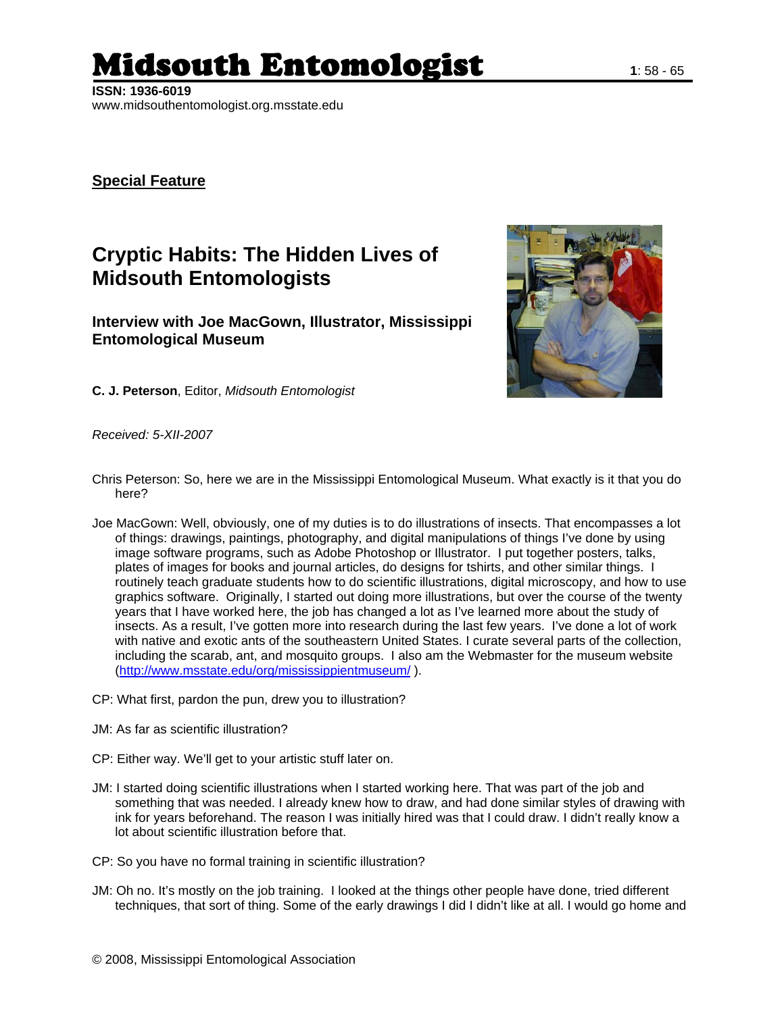## Midsouth Entomologist **1**: 58 - 65

**ISSN: 1936-6019**  www.midsouthentomologist.org.msstate.edu

## **Special Feature**

## **Cryptic Habits: The Hidden Lives of Midsouth Entomologists**

**Interview with Joe MacGown, Illustrator, Mississippi Entomological Museum** 



**C. J. Peterson**, Editor, *Midsouth Entomologist*

*Received: 5-XII-2007* 

- Chris Peterson: So, here we are in the Mississippi Entomological Museum. What exactly is it that you do here?
- Joe MacGown: Well, obviously, one of my duties is to do illustrations of insects. That encompasses a lot of things: drawings, paintings, photography, and digital manipulations of things I've done by using image software programs, such as Adobe Photoshop or Illustrator. I put together posters, talks, plates of images for books and journal articles, do designs for tshirts, and other similar things. I routinely teach graduate students how to do scientific illustrations, digital microscopy, and how to use graphics software. Originally, I started out doing more illustrations, but over the course of the twenty years that I have worked here, the job has changed a lot as I've learned more about the study of insects. As a result, I've gotten more into research during the last few years. I've done a lot of work with native and exotic ants of the southeastern United States. I curate several parts of the collection, including the scarab, ant, and mosquito groups. I also am the Webmaster for the museum website [\(http://www.msstate.edu/org/mississippientmuseum/](http://www.msstate.edu/org/mississippientmuseum/) ).
- CP: What first, pardon the pun, drew you to illustration?
- JM: As far as scientific illustration?
- CP: Either way. We'll get to your artistic stuff later on.
- JM: I started doing scientific illustrations when I started working here. That was part of the job and something that was needed. I already knew how to draw, and had done similar styles of drawing with ink for years beforehand. The reason I was initially hired was that I could draw. I didn't really know a lot about scientific illustration before that.
- CP: So you have no formal training in scientific illustration?
- JM: Oh no. It's mostly on the job training. I looked at the things other people have done, tried different techniques, that sort of thing. Some of the early drawings I did I didn't like at all. I would go home and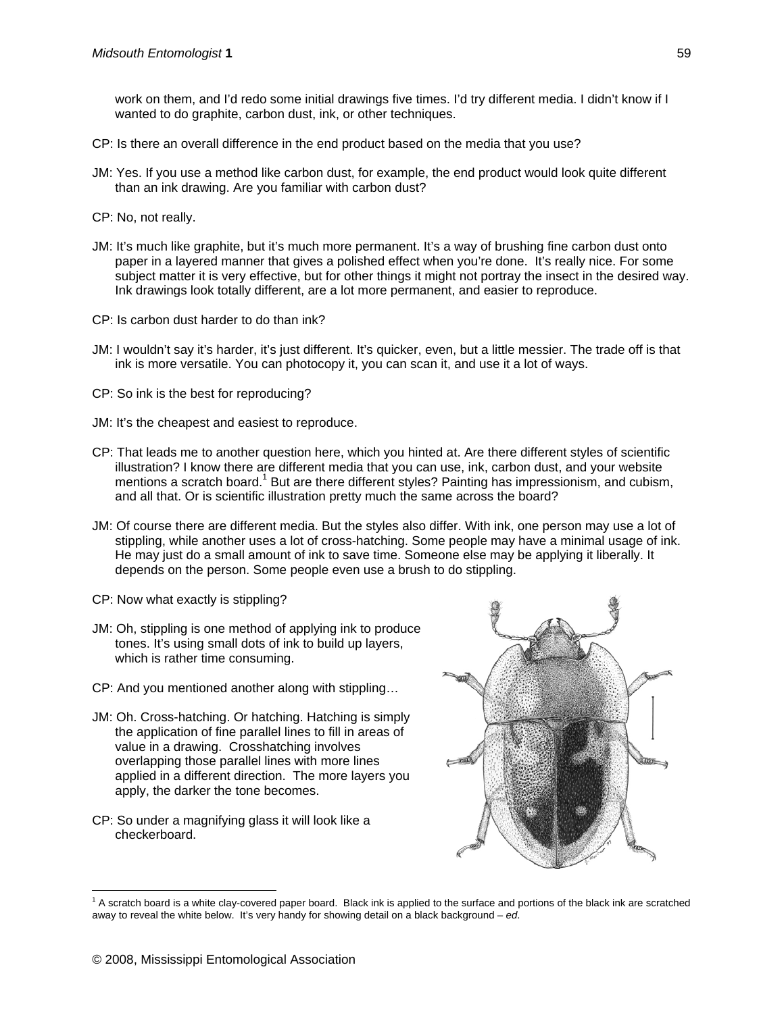work on them, and I'd redo some initial drawings five times. I'd try different media. I didn't know if I wanted to do graphite, carbon dust, ink, or other techniques.

- CP: Is there an overall difference in the end product based on the media that you use?
- JM: Yes. If you use a method like carbon dust, for example, the end product would look quite different than an ink drawing. Are you familiar with carbon dust?
- CP: No, not really.
- JM: It's much like graphite, but it's much more permanent. It's a way of brushing fine carbon dust onto paper in a layered manner that gives a polished effect when you're done. It's really nice. For some subject matter it is very effective, but for other things it might not portray the insect in the desired way. Ink drawings look totally different, are a lot more permanent, and easier to reproduce.
- CP: Is carbon dust harder to do than ink?
- JM: I wouldn't say it's harder, it's just different. It's quicker, even, but a little messier. The trade off is that ink is more versatile. You can photocopy it, you can scan it, and use it a lot of ways.
- CP: So ink is the best for reproducing?
- JM: It's the cheapest and easiest to reproduce.
- CP: That leads me to another question here, which you hinted at. Are there different styles of scientific illustration? I know there are different media that you can use, ink, carbon dust, and your website mentions a scratch board.<sup>1</sup> But are there different styles? Painting has impressionism, and cubism, and all that. Or is scientific illustration pretty much the same across the board?
- JM: Of course there are different media. But the styles also differ. With ink, one person may use a lot of stippling, while another uses a lot of cross-hatching. Some people may have a minimal usage of ink. He may just do a small amount of ink to save time. Someone else may be applying it liberally. It depends on the person. Some people even use a brush to do stippling.
- CP: Now what exactly is stippling?
- JM: Oh, stippling is one method of applying ink to produce tones. It's using small dots of ink to build up layers, which is rather time consuming.
- CP: And you mentioned another along with stippling…
- JM: Oh. Cross-hatching. Or hatching. Hatching is simply the application of fine parallel lines to fill in areas of value in a drawing. Crosshatching involves overlapping those parallel lines with more lines applied in a different direction. The more layers you apply, the darker the tone becomes.
- <span id="page-1-0"></span>CP: So under a magnifying glass it will look like a checkerboard.



 $\overline{a}$  $1$  A scratch board is a white clay-covered paper board. Black ink is applied to the surface and portions of the black ink are scratched away to reveal the white below. It's very handy for showing detail on a black background – *ed*.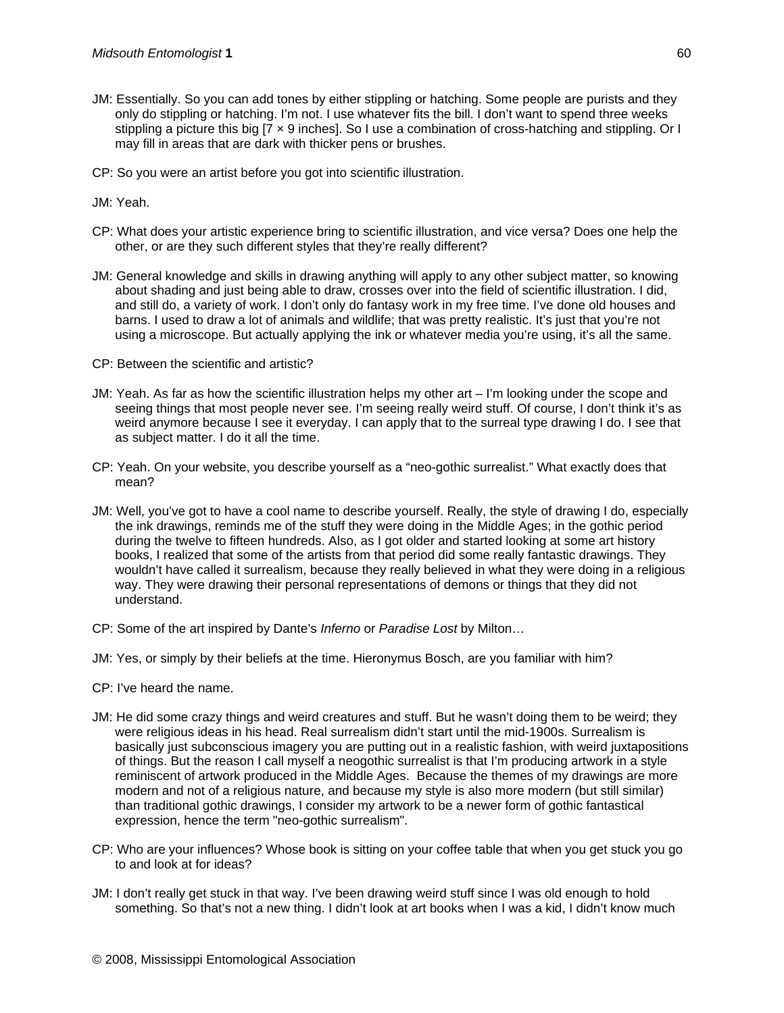- JM: Essentially. So you can add tones by either stippling or hatching. Some people are purists and they only do stippling or hatching. I'm not. I use whatever fits the bill. I don't want to spend three weeks stippling a picture this big [7 x 9 inches]. So I use a combination of cross-hatching and stippling. Or I may fill in areas that are dark with thicker pens or brushes.
- CP: So you were an artist before you got into scientific illustration.

JM: Yeah.

- CP: What does your artistic experience bring to scientific illustration, and vice versa? Does one help the other, or are they such different styles that they're really different?
- JM: General knowledge and skills in drawing anything will apply to any other subject matter, so knowing about shading and just being able to draw, crosses over into the field of scientific illustration. I did, and still do, a variety of work. I don't only do fantasy work in my free time. I've done old houses and barns. I used to draw a lot of animals and wildlife; that was pretty realistic. It's just that you're not using a microscope. But actually applying the ink or whatever media you're using, it's all the same.
- CP: Between the scientific and artistic?
- JM: Yeah. As far as how the scientific illustration helps my other art I'm looking under the scope and seeing things that most people never see. I'm seeing really weird stuff. Of course, I don't think it's as weird anymore because I see it everyday. I can apply that to the surreal type drawing I do. I see that as subject matter. I do it all the time.
- CP: Yeah. On your website, you describe yourself as a "neo-gothic surrealist." What exactly does that mean?
- JM: Well, you've got to have a cool name to describe yourself. Really, the style of drawing I do, especially the ink drawings, reminds me of the stuff they were doing in the Middle Ages; in the gothic period during the twelve to fifteen hundreds. Also, as I got older and started looking at some art history books, I realized that some of the artists from that period did some really fantastic drawings. They wouldn't have called it surrealism, because they really believed in what they were doing in a religious way. They were drawing their personal representations of demons or things that they did not understand.
- CP: Some of the art inspired by Dante's *Inferno* or *Paradise Lost* by Milton…
- JM: Yes, or simply by their beliefs at the time. Hieronymus Bosch, are you familiar with him?
- CP: I've heard the name.
- JM: He did some crazy things and weird creatures and stuff. But he wasn't doing them to be weird; they were religious ideas in his head. Real surrealism didn't start until the mid-1900s. Surrealism is basically just subconscious imagery you are putting out in a realistic fashion, with weird juxtapositions of things. But the reason I call myself a neogothic surrealist is that I'm producing artwork in a style reminiscent of artwork produced in the Middle Ages. Because the themes of my drawings are more modern and not of a religious nature, and because my style is also more modern (but still similar) than traditional gothic drawings, I consider my artwork to be a newer form of gothic fantastical expression, hence the term "neo-gothic surrealism".
- CP: Who are your influences? Whose book is sitting on your coffee table that when you get stuck you go to and look at for ideas?
- JM: I don't really get stuck in that way. I've been drawing weird stuff since I was old enough to hold something. So that's not a new thing. I didn't look at art books when I was a kid, I didn't know much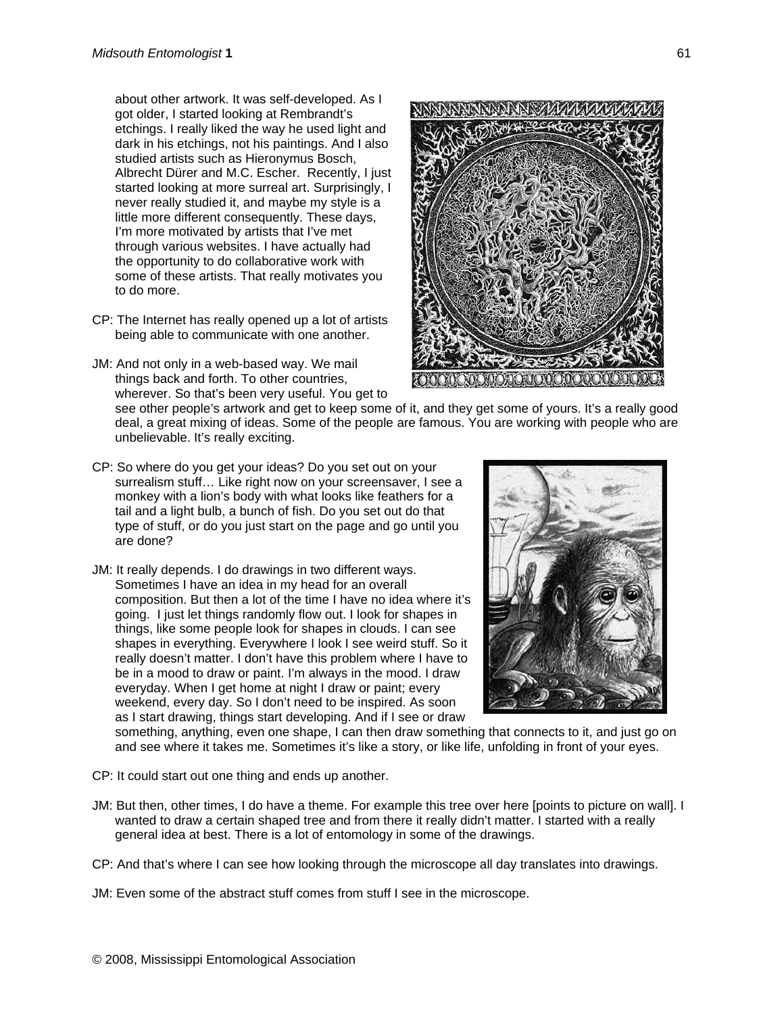about other artwork. It was self-developed. As I got older, I started looking at Rembrandt's etchings. I really liked the way he used light and dark in his etchings, not his paintings. And I also studied artists such as Hieronymus Bosch, Albrecht Dürer and M.C. Escher. Recently, I j ust started looking at more surreal art. Surp risingly, I never really studied it, and maybe my style is a little more different consequently. These days, I'm more motivated by artists that I've met through various websites. I have actually h ad the opportunity to do collaborative work with some of these artists. That really motivates y ou to do more.

- CP: The Internet has really opened up a lot of artists being able to communicate with one another.
- JM: And not only in a web-based way. We mail things back and forth. To other countries, wherever. So that's been very useful. You get to



see other people's artwork and get to keep some of it, and they get some of yours. It's a really good deal, a great mixing of ideas. Some of the people are famous. You are working with people who are unbelievable. It's really exciting.

- CP: So where do you get your ideas? Do you set out on your surrealism stuff… Like right now on your screensaver, I see a monkey with a lion's body with what looks like feathers for a tail and a light bulb, a bunch of fish. Do you set out do that type of stuff, or do you just start on the page and go until you are done?
- JM: It really depends. I do drawings in two different ways. Sometimes I have an idea in my head for an overall composition. But then a lot of the time I have no idea where it's going. I just let things randomly flow out. I look for shapes in things, like some people look for shapes in clouds. I can see shapes in everything. Everywhere I look I see weird stuff. So it really doesn't matter. I don't have this problem where I have to be in a mood to draw or paint. I'm always in the mood. I draw everyday. When I get home at night I draw or paint; every weekend, every day. So I don't need to be inspired. As soon as I start drawing, things start developing. And if I see or draw



something, anything, even one shape, I can then draw something that connects to it, and just go on and see where it takes me. Sometimes it's like a story, or like life, unfolding in front of your eyes.

- CP: It could start out one thing and ends up another.
- JM: But then, other times, I do have a theme. For example this tree over here [points to picture on wall]. I wanted to draw a certain shaped tree and from there it really didn't matter. I started with a really general idea at best. There is a lot of entomology in some of the drawings.
- CP: And that's where I can see how looking through the microscope all day translates into drawings.
- JM: Even some of the abstract stuff comes from stuff I see in the microscope.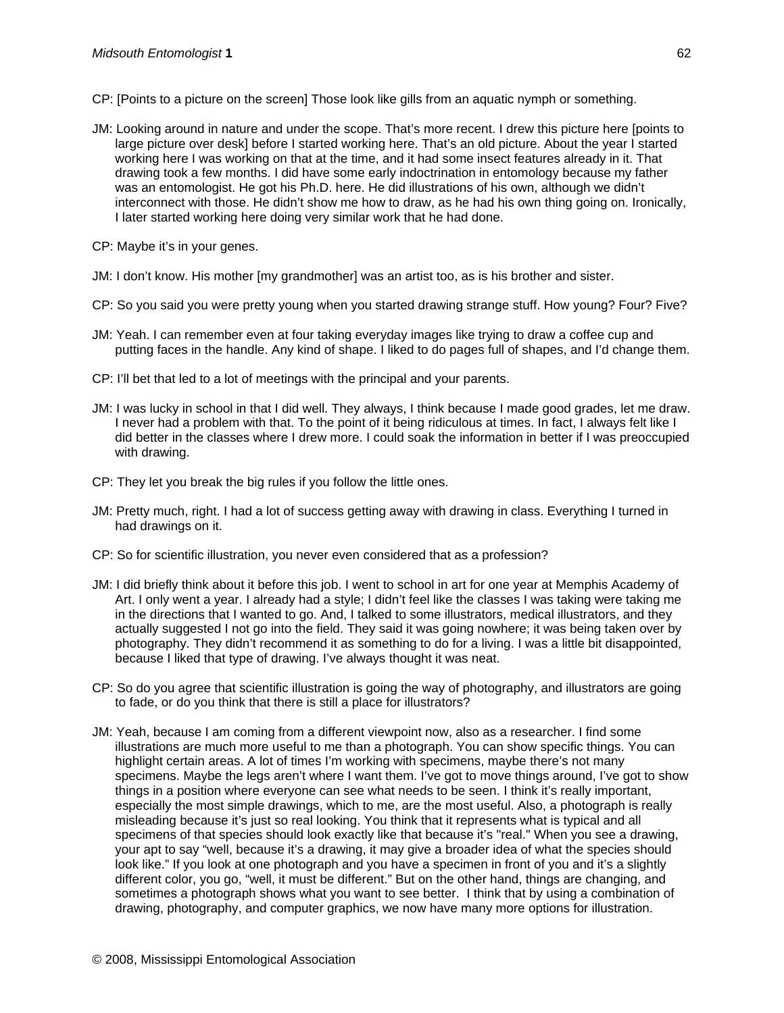- CP: [Points to a picture on the screen] Those look like gills from an aquatic nymph or something.
- JM: Looking around in nature and under the scope. That's more recent. I drew this picture here [points to large picture over desk] before I started working here. That's an old picture. About the year I started working here I was working on that at the time, and it had some insect features already in it. That drawing took a few months. I did have some early indoctrination in entomology because my father was an entomologist. He got his Ph.D. here. He did illustrations of his own, although we didn't interconnect with those. He didn't show me how to draw, as he had his own thing going on. Ironically, I later started working here doing very similar work that he had done.
- CP: Maybe it's in your genes.
- JM: I don't know. His mother [my grandmother] was an artist too, as is his brother and sister.
- CP: So you said you were pretty young when you started drawing strange stuff. How young? Four? Five?
- JM: Yeah. I can remember even at four taking everyday images like trying to draw a coffee cup and putting faces in the handle. Any kind of shape. I liked to do pages full of shapes, and I'd change them.
- CP: I'll bet that led to a lot of meetings with the principal and your parents.
- JM: I was lucky in school in that I did well. They always, I think because I made good grades, let me draw. I never had a problem with that. To the point of it being ridiculous at times. In fact, I always felt like I did better in the classes where I drew more. I could soak the information in better if I was preoccupied with drawing.
- CP: They let you break the big rules if you follow the little ones.
- JM: Pretty much, right. I had a lot of success getting away with drawing in class. Everything I turned in had drawings on it.
- CP: So for scientific illustration, you never even considered that as a profession?
- JM: I did briefly think about it before this job. I went to school in art for one year at Memphis Academy of Art. I only went a year. I already had a style; I didn't feel like the classes I was taking were taking me in the directions that I wanted to go. And, I talked to some illustrators, medical illustrators, and they actually suggested I not go into the field. They said it was going nowhere; it was being taken over by photography. They didn't recommend it as something to do for a living. I was a little bit disappointed, because I liked that type of drawing. I've always thought it was neat.
- CP: So do you agree that scientific illustration is going the way of photography, and illustrators are going to fade, or do you think that there is still a place for illustrators?
- JM: Yeah, because I am coming from a different viewpoint now, also as a researcher. I find some illustrations are much more useful to me than a photograph. You can show specific things. You can highlight certain areas. A lot of times I'm working with specimens, maybe there's not many specimens. Maybe the legs aren't where I want them. I've got to move things around, I've got to show things in a position where everyone can see what needs to be seen. I think it's really important, especially the most simple drawings, which to me, are the most useful. Also, a photograph is really misleading because it's just so real looking. You think that it represents what is typical and all specimens of that species should look exactly like that because it's "real." When you see a drawing, your apt to say "well, because it's a drawing, it may give a broader idea of what the species should look like." If you look at one photograph and you have a specimen in front of you and it's a slightly different color, you go, "well, it must be different." But on the other hand, things are changing, and sometimes a photograph shows what you want to see better. I think that by using a combination of drawing, photography, and computer graphics, we now have many more options for illustration.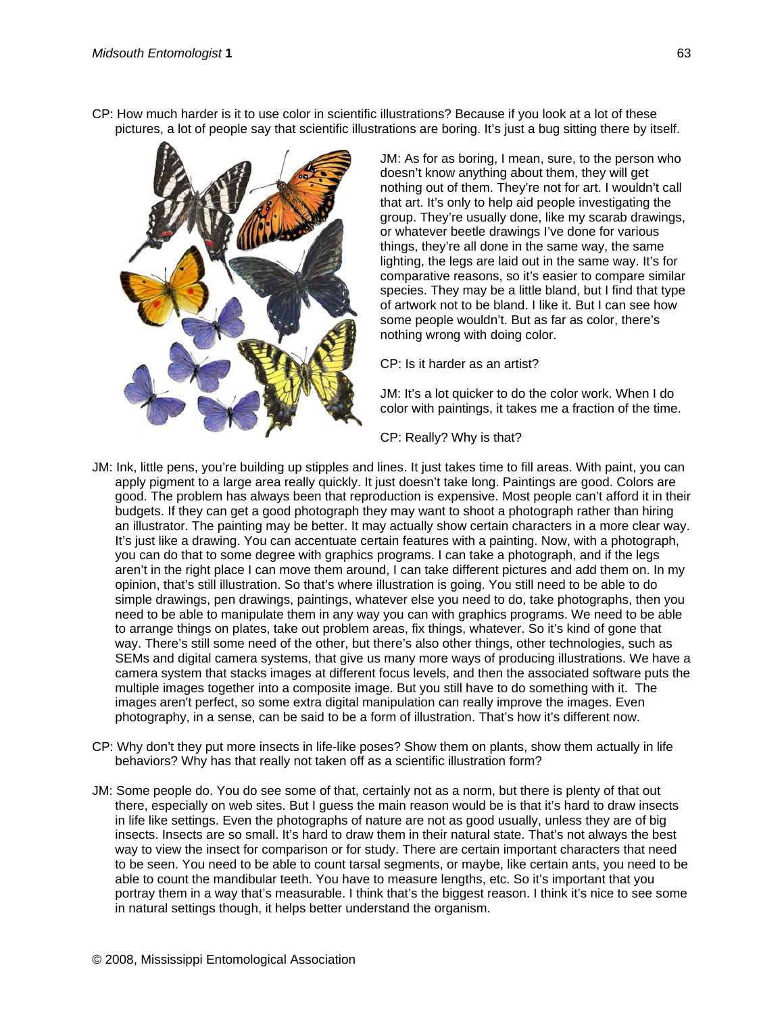CP: How much harder is it to use color in scientific illustrations? Because if you look at a lot of these pictures, a lot of people say that scientific illustrations are boring. It's just a bug sitting there by itself.



JM: As for as boring, I mean, sure, to the person who doesn't know anything about them, they will get nothing out of them. They're not for art. I wouldn't call that art. It's only to help aid people investigating the group. They're usually done, like my scarab drawings, or whatever beetle drawings I've done for various things, they're all done in the same way, the same lighting, the legs are laid out in the same way. It's for comparative reasons, so it's easier to compare similar species. They may be a little bland, but I find that type of artwork not to be bland. I like it. But I can see how some people wouldn't. But as far as color, there's nothing wrong with doing color.

CP: Is it harder as an artist?

JM: It's a lot quicker to do the color work. When I do color with paintings, it takes me a fraction of the time.

CP: Really? Why is that?

- JM: Ink, little pens, you're building up stipples and lines. It just takes time to fill areas. With paint, you can apply pigment to a large area really quickly. It just doesn't take long. Paintings are good. Colors are good. The problem has always been that reproduction is expensive. Most people can't afford it in their budgets. If they can get a good photograph they may want to shoot a photograph rather than hiring an illustrator. The painting may be better. It may actually show certain characters in a more clear way. It's just like a drawing. You can accentuate certain features with a painting. Now, with a photograph, you can do that to some degree with graphics programs. I can take a photograph, and if the legs aren't in the right place I can move them around, I can take different pictures and add them on. In my opinion, that's still illustration. So that's where illustration is going. You still need to be able to do simple drawings, pen drawings, paintings, whatever else you need to do, take photographs, then you need to be able to manipulate them in any way you can with graphics programs. We need to be able to arrange things on plates, take out problem areas, fix things, whatever. So it's kind of gone that way. There's still some need of the other, but there's also other things, other technologies, such as SEMs and digital camera systems, that give us many more ways of producing illustrations. We have a camera system that stacks images at different focus levels, and then the associated software puts the multiple images together into a composite image. But you still have to do something with it. The images aren't perfect, so some extra digital manipulation can really improve the images. Even photography, in a sense, can be said to be a form of illustration. That's how it's different now.
- CP: Why don't they put more insects in life-like poses? Show them on plants, show them actually in life behaviors? Why has that really not taken off as a scientific illustration form?
- JM: Some people do. You do see some of that, certainly not as a norm, but there is plenty of that out there, especially on web sites. But I guess the main reason would be is that it's hard to draw insects in life like settings. Even the photographs of nature are not as good usually, unless they are of big insects. Insects are so small. It's hard to draw them in their natural state. That's not always the best way to view the insect for comparison or for study. There are certain important characters that need to be seen. You need to be able to count tarsal segments, or maybe, like certain ants, you need to be able to count the mandibular teeth. You have to measure lengths, etc. So it's important that you portray them in a way that's measurable. I think that's the biggest reason. I think it's nice to see some in natural settings though, it helps better understand the organism.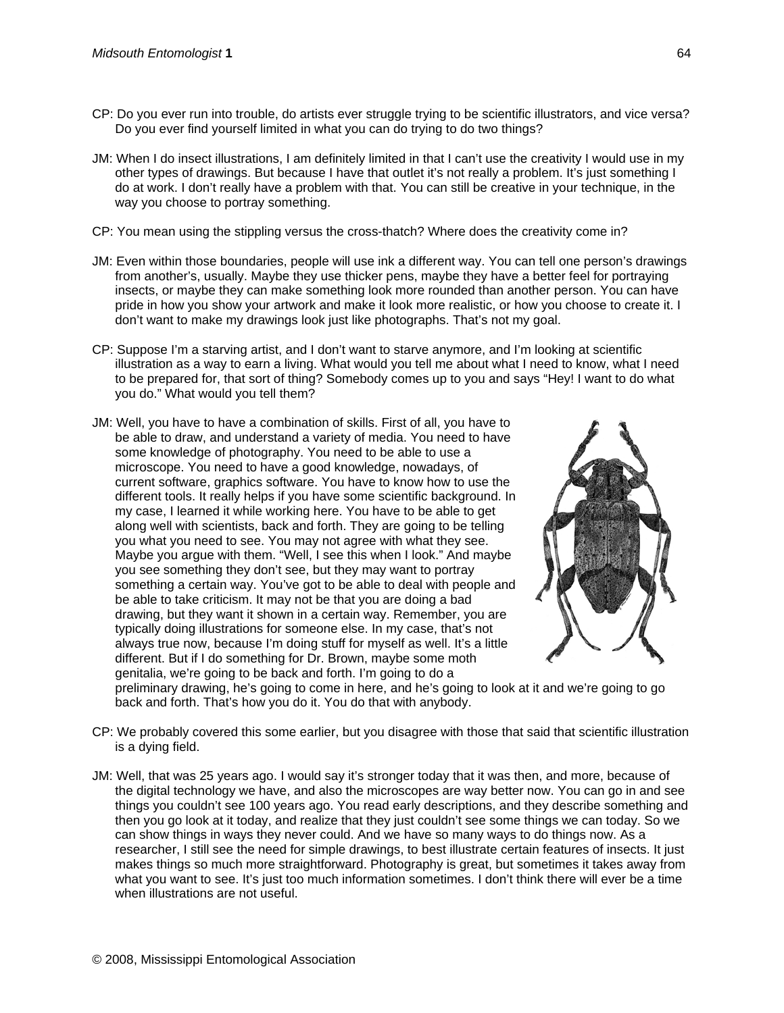- CP: Do you ever run into trouble, do artists ever struggle trying to be scientific illustrators, and vice versa? Do you ever find yourself limited in what you can do trying to do two things?
- JM: When I do insect illustrations, I am definitely limited in that I can't use the creativity I would use in my other types of drawings. But because I have that outlet it's not really a problem. It's just something I do at work. I don't really have a problem with that. You can still be creative in your technique, in the way you choose to portray something.
- CP: You mean using the stippling versus the cross-thatch? Where does the creativity come in?
- JM: Even within those boundaries, people will use ink a different way. You can tell one person's drawings from another's, usually. Maybe they use thicker pens, maybe they have a better feel for portraying insects, or maybe they can make something look more rounded than another person. You can have pride in how you show your artwork and make it look more realistic, or how you choose to create it. I don't want to make my drawings look just like photographs. That's not my goal.
- CP: Suppose I'm a starving artist, and I don't want to starve anymore, and I'm looking at scientific illustration as a way to earn a living. What would you tell me about what I need to know, what I need to be prepared for, that sort of thing? Somebody comes up to you and says "Hey! I want to do what you do." What would you tell them?
- JM: Well, you have to have a combination of skills. First of all, you have to be able to draw, and understand a variety of media. You need to have some knowledge of photography. You need to be able to use a microscope. You need to have a good knowledge, nowadays, of current software, graphics software. You have to know how to use the different tools. It really helps if you have some scientific background. In my case, I learned it while working here. You have to be able to get along well with scientists, back and forth. They are going to be telling you what you need to see. You may not agree with what they see. Maybe you argue with them. "Well, I see this when I look." And maybe you see something they don't see, but they may want to portray something a certain way. You've got to be able to deal with people and be able to take criticism. It may not be that you are doing a bad drawing, but they want it shown in a certain way. Remember, you are typically doing illustrations for someone else. In my case, that's not always true now, because I'm doing stuff for myself as well. It's a little different. But if I do something for Dr. Brown, maybe some moth genitalia, we're going to be back and forth. I'm going to do a



preliminary drawing, he's going to come in here, and he's going to look at it and we're going to go back and forth. That's how you do it. You do that with anybody.

- CP: We probably covered this some earlier, but you disagree with those that said that scientific illustration is a dying field.
- JM: Well, that was 25 years ago. I would say it's stronger today that it was then, and more, because of the digital technology we have, and also the microscopes are way better now. You can go in and see things you couldn't see 100 years ago. You read early descriptions, and they describe something and then you go look at it today, and realize that they just couldn't see some things we can today. So we can show things in ways they never could. And we have so many ways to do things now. As a researcher, I still see the need for simple drawings, to best illustrate certain features of insects. It just makes things so much more straightforward. Photography is great, but sometimes it takes away from what you want to see. It's just too much information sometimes. I don't think there will ever be a time when illustrations are not useful.